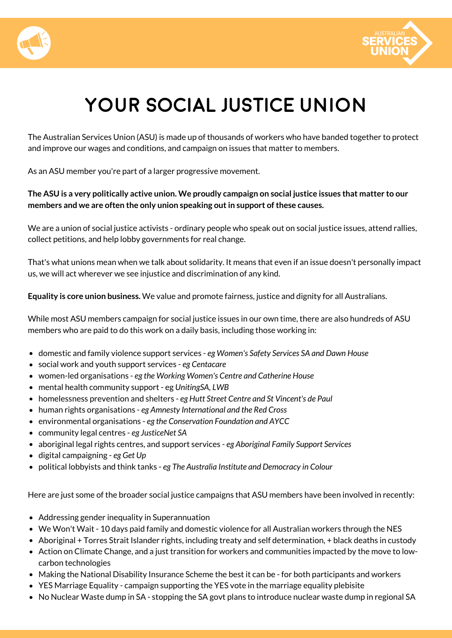



# **Your SOCIAL JUSTICE Union**

The Australian Services Union (ASU) is made up of thousands of workers who have banded together to protect and improve our wages and conditions, and campaign on issues that matter to members.

As an ASU member you're part of a larger progressive movement.

### The ASU is a very politically active union. We proudly campaign on social justice issues that matter to our **members and we are often the only union speaking outin support ofthese causes.**

We are a union of social justice activists - ordinary people who speak out on social justice issues, attend rallies, collect petitions, and help lobby governments for real change.

That's what unions mean when we talk about solidarity. It means that even if an issue doesn't personally impact us, we will act wherever we see injustice and discrimination of any kind.

**Equality is core union business.** We value and promote fairness, justice and dignity for all Australians.

While most ASU members campaign for social justice issues in our own time, there are also hundreds of ASU members who are paid to do this work on a daily basis, including those working in:

- domestic and family violence support services *eg Women's Safety Services SA and Dawn House*
- social work and youth support services *eg Centacare*
- women-led organisations *eg the Working Women's Centre and Catherine House*
- mental health community support eg *UnitingSA, LWB*
- homelessness prevention and shelters *eg Hutt Street Centre and St Vincent's de Paul*
- human rights organisations *eg Amnesty International and the Red Cross*
- environmental organisations *eg the Conservation Foundation and AYCC*
- community legal centres *eg JusticeNet SA*
- aboriginal legal rights centres, and support services *eg Aboriginal Family Support Services*
- digital campaigning *eg Get Up*
- political lobbyists and think tanks *eg The Australia Institute and Democracy in Colour*

Here are just some of the broader social justice campaigns that ASU members have been involved in recently:

- Addressing gender inequality in Superannuation
- We Won't Wait 10 days paid family and domestic violence for all Australian workers through the NES
- Aboriginal + Torres Strait Islander rights, including treaty and self determination, + black deaths in custody
- Action on Climate Change, and a just transition for workers and communities impacted by the move to lowcarbon technologies
- Making the National Disability Insurance Scheme the best it can be for both participants and workers
- YES Marriage Equality campaign supporting the YES vote in the marriage equality plebisite
- No Nuclear Waste dump in SA stopping the SA govt plans to introduce nuclear waste dump in regional SA